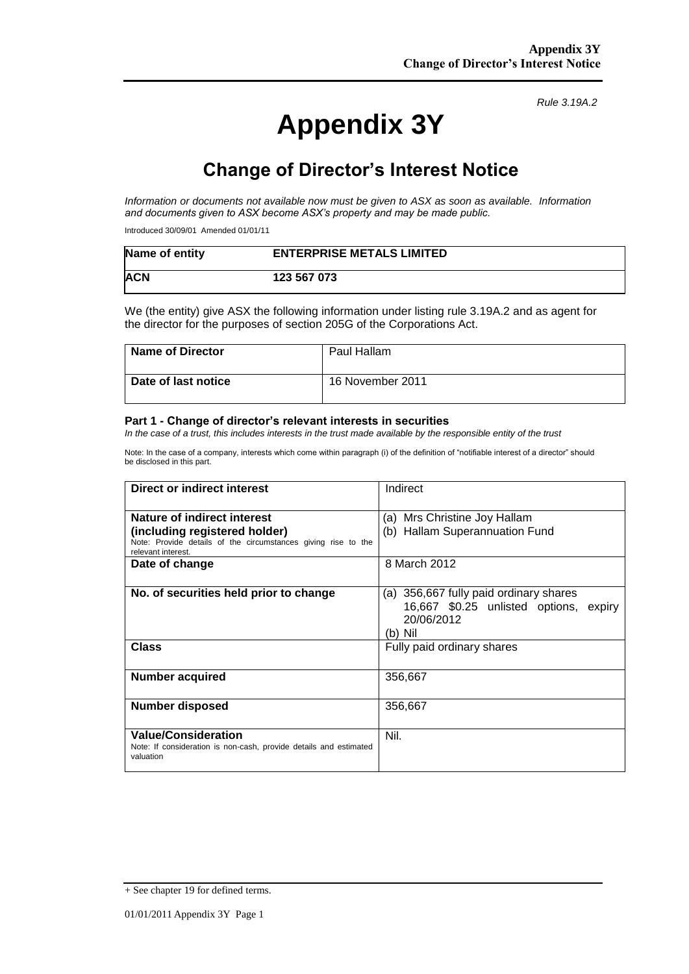# **Appendix 3Y**

*Rule 3.19A.2*

# **Change of Director's Interest Notice**

*Information or documents not available now must be given to ASX as soon as available. Information and documents given to ASX become ASX's property and may be made public.*

Introduced 30/09/01 Amended 01/01/11

| Name of entity | <b>ENTERPRISE METALS LIMITED</b> |
|----------------|----------------------------------|
| <b>ACN</b>     | 123 567 073                      |

We (the entity) give ASX the following information under listing rule 3.19A.2 and as agent for the director for the purposes of section 205G of the Corporations Act.

| <b>Name of Director</b> | Paul Hallam      |
|-------------------------|------------------|
| Date of last notice     | 16 November 2011 |

#### **Part 1 - Change of director's relevant interests in securities**

*In the case of a trust, this includes interests in the trust made available by the responsible entity of the trust*

Note: In the case of a company, interests which come within paragraph (i) of the definition of "notifiable interest of a director" should be disclosed in this part.

| Direct or indirect interest                                                                                          | Indirect                                                                                                  |  |
|----------------------------------------------------------------------------------------------------------------------|-----------------------------------------------------------------------------------------------------------|--|
| Nature of indirect interest                                                                                          | (a) Mrs Christine Joy Hallam                                                                              |  |
| (including registered holder)<br>Note: Provide details of the circumstances giving rise to the<br>relevant interest. | (b) Hallam Superannuation Fund                                                                            |  |
| Date of change                                                                                                       | 8 March 2012                                                                                              |  |
| No. of securities held prior to change                                                                               | (a) 356,667 fully paid ordinary shares<br>16,667 \$0.25 unlisted options, expiry<br>20/06/2012<br>(b) Nil |  |
| <b>Class</b>                                                                                                         | Fully paid ordinary shares                                                                                |  |
| <b>Number acquired</b>                                                                                               | 356,667                                                                                                   |  |
| <b>Number disposed</b>                                                                                               | 356,667                                                                                                   |  |
| <b>Value/Consideration</b><br>Note: If consideration is non-cash, provide details and estimated<br>valuation         | Nil.                                                                                                      |  |

<sup>+</sup> See chapter 19 for defined terms.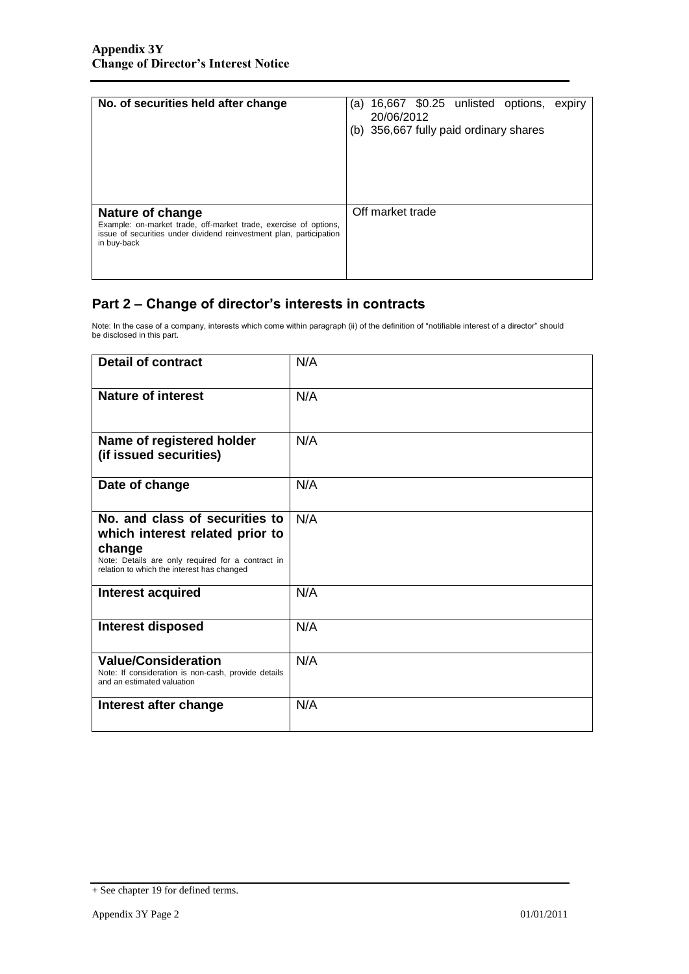| No. of securities held after change                                                                                                                                        | 16,667 \$0.25 unlisted options, expiry<br>(a)<br>20/06/2012<br>(b) 356,667 fully paid ordinary shares |
|----------------------------------------------------------------------------------------------------------------------------------------------------------------------------|-------------------------------------------------------------------------------------------------------|
| Nature of change<br>Example: on-market trade, off-market trade, exercise of options,<br>issue of securities under dividend reinvestment plan, participation<br>in buy-back | Off market trade                                                                                      |

## **Part 2 – Change of director's interests in contracts**

Note: In the case of a company, interests which come within paragraph (ii) of the definition of "notifiable interest of a director" should be disclosed in this part.

| <b>Detail of contract</b>                                                                                                                                                      | N/A |
|--------------------------------------------------------------------------------------------------------------------------------------------------------------------------------|-----|
| <b>Nature of interest</b>                                                                                                                                                      | N/A |
| Name of registered holder<br>(if issued securities)                                                                                                                            | N/A |
| Date of change                                                                                                                                                                 | N/A |
| No. and class of securities to<br>which interest related prior to<br>change<br>Note: Details are only required for a contract in<br>relation to which the interest has changed | N/A |
| Interest acquired                                                                                                                                                              | N/A |
| <b>Interest disposed</b>                                                                                                                                                       | N/A |
| <b>Value/Consideration</b><br>Note: If consideration is non-cash, provide details<br>and an estimated valuation                                                                | N/A |
| Interest after change                                                                                                                                                          | N/A |

<sup>+</sup> See chapter 19 for defined terms.